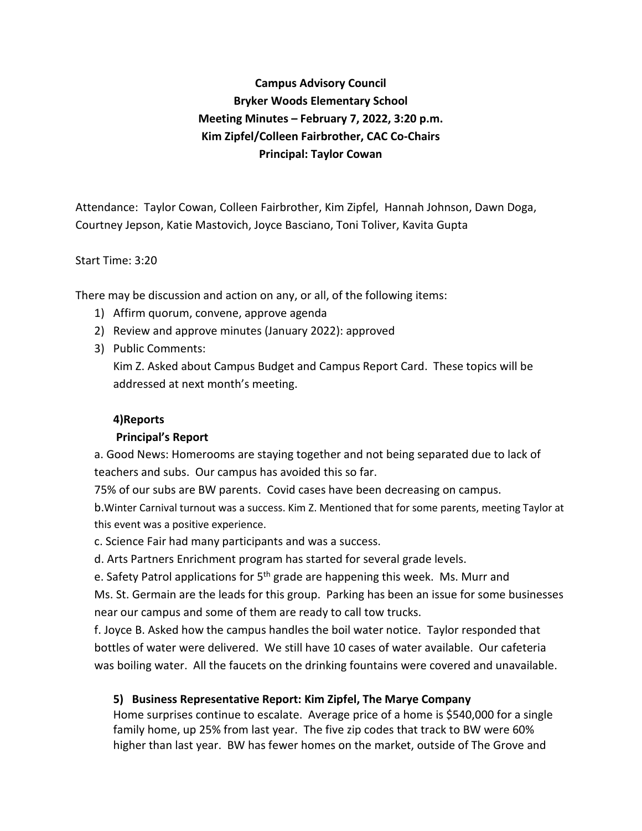# **Campus Advisory Council Bryker Woods Elementary School Meeting Minutes – February 7, 2022, 3:20 p.m. Kim Zipfel/Colleen Fairbrother, CAC Co-Chairs Principal: Taylor Cowan**

Attendance: Taylor Cowan, Colleen Fairbrother, Kim Zipfel, Hannah Johnson, Dawn Doga, Courtney Jepson, Katie Mastovich, Joyce Basciano, Toni Toliver, Kavita Gupta

#### Start Time: 3:20

There may be discussion and action on any, or all, of the following items:

- 1) Affirm quorum, convene, approve agenda
- 2) Review and approve minutes (January 2022): approved
- 3) Public Comments:

Kim Z. Asked about Campus Budget and Campus Report Card. These topics will be addressed at next month's meeting.

#### **4)Reports**

## **Principal's Report**

a. Good News: Homerooms are staying together and not being separated due to lack of teachers and subs. Our campus has avoided this so far.

75% of our subs are BW parents. Covid cases have been decreasing on campus.

b.Winter Carnival turnout was a success. Kim Z. Mentioned that for some parents, meeting Taylor at this event was a positive experience.

c. Science Fair had many participants and was a success.

d. Arts Partners Enrichment program has started for several grade levels.

e. Safety Patrol applications for  $5<sup>th</sup>$  grade are happening this week. Ms. Murr and

Ms. St. Germain are the leads for this group. Parking has been an issue for some businesses near our campus and some of them are ready to call tow trucks.

f. Joyce B. Asked how the campus handles the boil water notice. Taylor responded that bottles of water were delivered. We still have 10 cases of water available. Our cafeteria was boiling water. All the faucets on the drinking fountains were covered and unavailable.

## **5) Business Representative Report: Kim Zipfel, The Marye Company**

Home surprises continue to escalate. Average price of a home is \$540,000 for a single family home, up 25% from last year. The five zip codes that track to BW were 60% higher than last year. BW has fewer homes on the market, outside of The Grove and